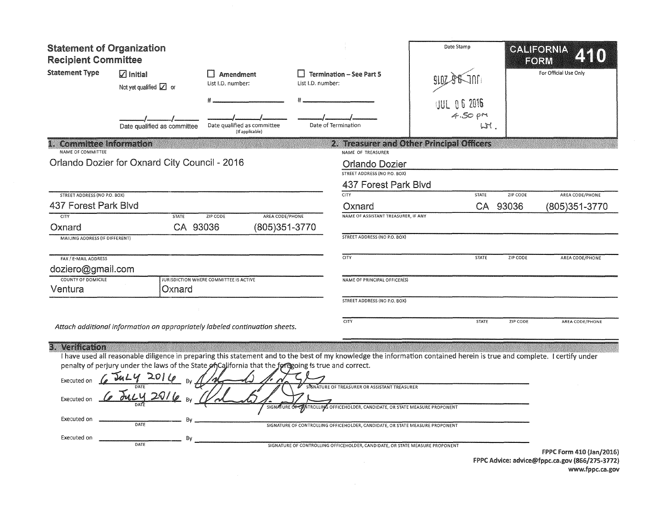| <b>Statement of Organization</b><br><b>Recipient Committee</b>              |                                                                                                                                                                                                                                                                                                                          |                                                |                   |                                                                                                                                                                                                                                                                                               | Date Stamp                                    |          | CALIFORNIA<br>FORM                            |  |
|-----------------------------------------------------------------------------|--------------------------------------------------------------------------------------------------------------------------------------------------------------------------------------------------------------------------------------------------------------------------------------------------------------------------|------------------------------------------------|-------------------|-----------------------------------------------------------------------------------------------------------------------------------------------------------------------------------------------------------------------------------------------------------------------------------------------|-----------------------------------------------|----------|-----------------------------------------------|--|
| <b>Statement Type</b>                                                       | $\nabla$ Initial<br>Not yet qualified $\boxed{\angle}$ or                                                                                                                                                                                                                                                                | Amendment<br>List I.D. number:                 | List I.D. number: | $\Box$ Termination - See Part 5                                                                                                                                                                                                                                                               |                                               |          | For Official Use Only                         |  |
|                                                                             | Date qualified as committee                                                                                                                                                                                                                                                                                              | Date qualified as committee<br>(If applicable) |                   | Date of Termination                                                                                                                                                                                                                                                                           | <b>JUL 06 2016</b><br>$4.50 \text{ pM}$<br>LT |          |                                               |  |
| <b>Committee Information</b>                                                |                                                                                                                                                                                                                                                                                                                          |                                                |                   |                                                                                                                                                                                                                                                                                               | 2. Treasurer and Other Principal Officers     |          |                                               |  |
| NAME OF COMMITTEE                                                           | Orlando Dozier for Oxnard City Council - 2016                                                                                                                                                                                                                                                                            |                                                |                   | NAME OF TREASURER<br><b>Orlando Dozier</b><br>STREET ADDRESS (NO P.O. BOX)<br>437 Forest Park Blvd                                                                                                                                                                                            |                                               |          |                                               |  |
| <b>STREET ADDRESS (NO P.O. BOX)</b>                                         |                                                                                                                                                                                                                                                                                                                          |                                                |                   | <b>CITY</b>                                                                                                                                                                                                                                                                                   | STATE                                         | ZIP CODE | AREA CODE/PHONE                               |  |
| 437 Forest Park Blvd                                                        |                                                                                                                                                                                                                                                                                                                          |                                                |                   | Oxnard                                                                                                                                                                                                                                                                                        |                                               | CA 93036 | (805)351-3770                                 |  |
| <b>CITY</b>                                                                 | <b>STATE</b>                                                                                                                                                                                                                                                                                                             | ZIP CODE<br>AREA CODE/PHONE                    |                   | NAME OF ASSISTANT TREASURER, IF ANY                                                                                                                                                                                                                                                           |                                               |          |                                               |  |
| Oxnard                                                                      | CA 93036                                                                                                                                                                                                                                                                                                                 | (805) 351-3770                                 |                   |                                                                                                                                                                                                                                                                                               |                                               |          |                                               |  |
| <b>MAILING ADDRESS (IF DIFFERENT)</b>                                       |                                                                                                                                                                                                                                                                                                                          |                                                |                   | STREET ADDRESS (NO P.O. BOX)                                                                                                                                                                                                                                                                  |                                               |          |                                               |  |
| FAX / E-MAIL ADDRESS                                                        |                                                                                                                                                                                                                                                                                                                          |                                                |                   | CITY                                                                                                                                                                                                                                                                                          | <b>STATE</b>                                  | ZIP CODE | AREA CODE/PHONE                               |  |
| doziero@gmail.com                                                           |                                                                                                                                                                                                                                                                                                                          |                                                |                   |                                                                                                                                                                                                                                                                                               |                                               |          |                                               |  |
| COUNTY OF DOMICILE                                                          |                                                                                                                                                                                                                                                                                                                          | JURISDICTION WHERE COMMITTEE IS ACTIVE         |                   | NAME OF PRINCIPAL OFFICER(S)                                                                                                                                                                                                                                                                  |                                               |          |                                               |  |
| Ventura                                                                     | Oxnard                                                                                                                                                                                                                                                                                                                   |                                                |                   | STREET ADDRESS (NO P.O. BOX)                                                                                                                                                                                                                                                                  |                                               |          |                                               |  |
|                                                                             |                                                                                                                                                                                                                                                                                                                          |                                                |                   |                                                                                                                                                                                                                                                                                               |                                               |          |                                               |  |
|                                                                             | Attach additional information on appropriately labeled continuation sheets.                                                                                                                                                                                                                                              |                                                |                   | CITY                                                                                                                                                                                                                                                                                          | <b>STATE</b>                                  | ZIP CODE | AREA CODE/PHONE                               |  |
| 3. Verification<br>Executed on<br>Executed on<br>Executed on<br>Executed on | I have used all reasonable diligence in preparing this statement and to the best of my knowledge the information contained herein is true and complete. I certify under<br>penalty of perjury under the laws of the State of California that the foregoing is true and correct.<br>Co ducy 2016 BV<br>DATE<br>By<br>DATE |                                                |                   | SIGNATURE OF TREASURER OR ASSISTANT TREASURER<br>SIGNATURE OF CONTROLLING OFFICEHOLDER, CANDIDATE, OR STATE MEASURE PROPONENT<br>SIGNATURE OF CONTROLLING OFFICEHOLDER, CANDIDATE, OR STATE MEASURE PROPONENT<br>SIGNATURE OF CONTROLLING OFFICEHOLDER, CANDIDATE, OR STATE MEASURE PROPONENT |                                               |          | <b>FPPC Form 410 (Jan/2016)</b>               |  |
|                                                                             |                                                                                                                                                                                                                                                                                                                          |                                                |                   |                                                                                                                                                                                                                                                                                               |                                               |          | FDDC Advice: advice@fonc.ca.cov/866/075_2772) |  |

 $\sim$ 

FPPC Advice: advice@fppc.ca.gov (866/275-3772) www.fppc.ca.gov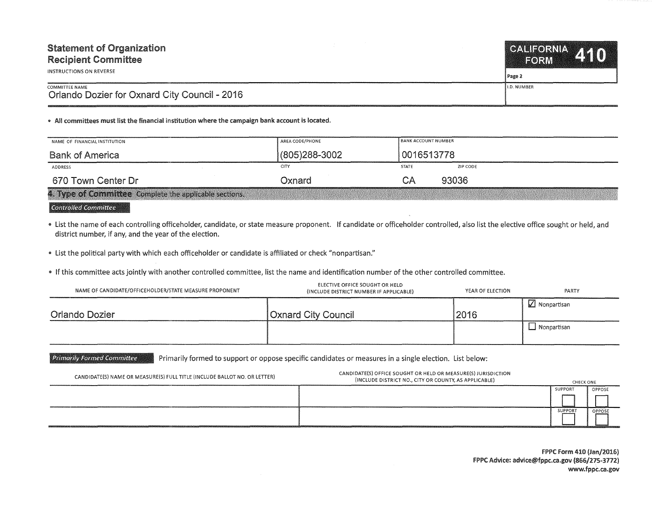| <b>Statement of Organization</b>                                | CALIFORNIA A 4 0   |
|-----------------------------------------------------------------|--------------------|
| <b>Recipient Committee</b>                                      | <b>FORM</b>        |
| INSTRUCTIONS ON REVERSE                                         | l Page 2           |
| COMMITTEE NAME<br>Orlando Dozier for Oxnard City Council - 2016 | <b>I.D. NUMBER</b> |

• All committees must list the financial institution where the campaign bank account is located.

| NAME OF FINANCIAL INSTITUTION                                                                                                                              | AREA CODE/PHONE   |              | <b>BANK ACCOUNT NUMBER</b> |  |  |
|------------------------------------------------------------------------------------------------------------------------------------------------------------|-------------------|--------------|----------------------------|--|--|
| <b>Bank of America</b>                                                                                                                                     | $(805)288 - 3002$ |              | 0016513778                 |  |  |
| ADDRESS                                                                                                                                                    | CITY              | <b>STATE</b> | ZIP CODE                   |  |  |
| 670 Town Center Dr                                                                                                                                         | Oxnard            | СA           | 93036                      |  |  |
| 4. Type of Committee Complete the applicable sections.<br>1980 CELEBRATO CONTROLLED CONTRACTOR CONTRACTO ANNO 2002 A PRODUCT ANNO 2002 CELEBRATO ANNO 2003 |                   |              |                            |  |  |

 $^{\circ}$ Controlled Committee

" list the name of each controlling officeholder, candidate, or state measure proponent. If candidate or officeholder controlled, also list the elective office sought or held, and district number, if any, and the year of the election.

" list the political party with which each officeholder or candidate is affiliated or check "nonpartisan."

" If this committee acts jointly with another controlled committee, list the name and identification number of the other controlled committee.

| NAME OF CANDIDATE/OFFICEHOLDER/STATE MEASURE PROPONENT | ELECTIVE OFFICE SOUGHT OR HELD<br>(INCLUDE DISTRICT NUMBER IF APPLICABLE) | YEAR OF ELECTION | PARTY                  |
|--------------------------------------------------------|---------------------------------------------------------------------------|------------------|------------------------|
| Orlando Dozier                                         | <b>Oxnard City Council</b>                                                | 2016             | $\sqrt{ }$ Nonpartisan |
|                                                        |                                                                           |                  | $\Box$ Nonpartisan     |

Primarily Formed Committee **Primarily formed to support or oppose specific candidates or measures in a single election. List below:** 

| CANDIDATE(S) NAME OR MEASURE(S) FULL TITLE (INCLUDE BALLOT NO. OR LETTER) | CANDIDATE(S) OFFICE SOUGHT OR HELD OR MEASURE(S) JURISDICTION<br>(INCLUDE DISTRICT NO., CITY OR COUNTY, AS APPLICABLE) | <b>CHECK ONE</b> |        |
|---------------------------------------------------------------------------|------------------------------------------------------------------------------------------------------------------------|------------------|--------|
|                                                                           |                                                                                                                        | SUPPORT          | OPPOSE |
|                                                                           |                                                                                                                        |                  |        |
|                                                                           |                                                                                                                        | <b>SUPPORT</b>   | OPPOSE |

FPPC Form 410 (Jan/2016) FPPC Advice: advice@fppc.ca.gov {866/275-3772) www.fppc.ca.gov